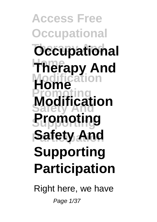**Access Free Occupational Occupational Therapy And Modification Home Promoting Modification Supporting Promoting Safety And Supporting Participation**

Right here, we have

Page 1/37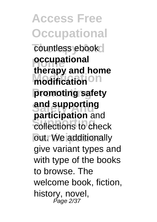**Access Free Occupational** countless ebook **pccupational Modification modification Promoting promoting safety** and supporting **Supporting** collections to check out. We additionally **therapy and home participation** and give variant types and with type of the books to browse. The welcome book, fiction, history, novel, Page 2/37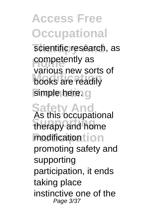scientific research, as competently as **Modification** books are readily simple here. **g** various new sorts of

**Safety And** As this occupational **Supporting** therapy and home modification tion promoting safety and supporting participation, it ends taking place instinctive one of the Page 3/37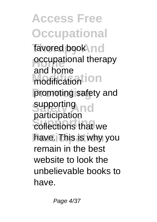favored book nd **occupational therapy Modification** modification **Promoting** promoting safety and supporting **Supporting** collections that we have. This is why you and home participation remain in the best website to look the unbelievable books to have.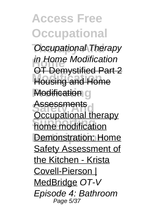**Occupational Therapy Home** in Home Modification **Housing and Home Modification g** Assessments<br><u>Occupational therapy</u> **home modification Demonstration: Home** OT Demystified Part 2 **Assessments** Safety Assessment of the Kitchen - Krista Covell-Pierson | MedBridge OT-V Episode 4: Bathroom Page 5/37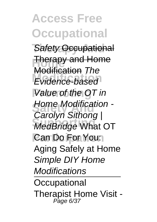**Safety Occupational Therapy and Home Modification** Evidence-based **Value of the OT in Home Modification -Supporting** MedBridge What OT Can Do For You: Modification The Carolyn Sithong I Aging Safely at Home Simple DIY Home **Modifications Occupational** 

Therapist Home Visit - Page 6/37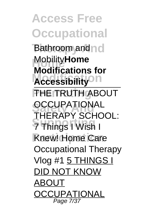**Access Free Occupational Bathroom** and no **Home** Mobility**Home Modification Accessibility PHE TRUTH ABOUT OCCUPATIONAL Supporting** 7 Things I Wish I **Knew! Home Care Modifications for** THERAPY SCHOOL: Occupational Therapy Vlog #1 5 THINGS I DID NOT KNOW ABOUT **OCCUPATIONAL** Page 7/37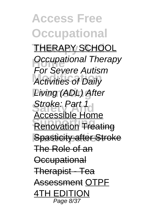**Access Free Occupational THERAPY SCHOOL Dccupational Therapy Activities of Daily Living (ADL) After Stroke: Part 1 Renovation Treating Spasticity after Stroke** For Severe Autism Accessible Home The Role of an **Occupational** Therapist - Tea Assessment OTPF 4TH EDITION Page 8/37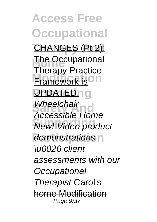**Access Free Occupational** CHANGES (Pt 2): **The Occupational Framework is UPDATED!1G** Wheelchair<br>
Annealtha Us **New!** Video product demonstrations n Therapy Practice Accessible Home \u0026 client assessments with our **Occupational** Therapist <del>Carol's</del> home Modification Page 9/37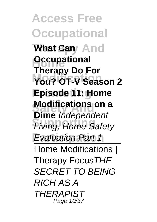**Access Free Occupational What Cany And Decupational Modification You? OT-V Season 2 Episode 11: Home Modifications on a Living, Home Safety Evaluation Part 1 Therapy Do For Dime** Independent Home Modifications | Therapy FocusTHE SECRET TO BEING RICH AS A **THERAPIST** Page 10/37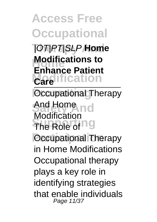**Therapy And** |OT|PT|SLP **Home Modifications to Modification Enhance Patient Care**

**Pccupational Therapy** And Home no The Role of <sup>ng</sup> **Pacupational Therapy** Modification in Home Modifications Occupational therapy plays a key role in identifying strategies that enable individuals Page 11/37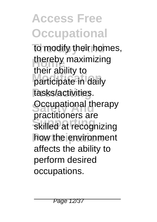to modify their homes, thereby maximizing **Modification** participate in daily tasks/activities. **Occupational therapy Supporting** skilled at recognizing how the environment their ability to practitioners are affects the ability to perform desired occupations.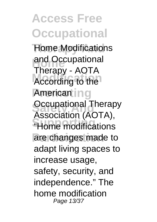**Home Modifications** and Occupational According to the Americant in g **Occupational Therapy "Home modifications** are changes made to Therapy - AOTA Association (AOTA), adapt living spaces to increase usage, safety, security, and independence." The home modification Page 13/37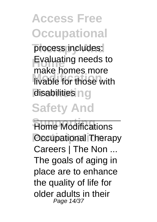process includes: **Evaluating needs to Make homee more** disabilities ng make homes more

# **Safety And**

**Home Modifications** *<u>Dccupational</u>* Therapy Careers | The Non ... The goals of aging in place are to enhance the quality of life for older adults in their Page 14/37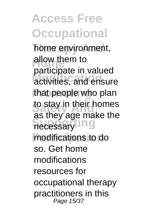home environment, **Allow them to Modification** activities, and ensure that people who plan to stay in their homes necessary<sup>11</sup>ng modifications to do participate in valued as they age make the so. Get home modifications resources for occupational therapy practitioners in this Page 15/37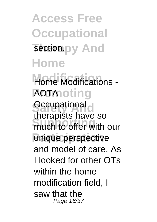**Access Free Occupational** section.py And **Home**

#### Home Modifications -**AOTA** oting

**Occupational** much to offer with our unique perspective therapists have so and model of care. As I looked for other OTs within the home modification field, I saw that the Page 16/37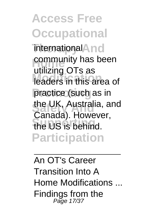**Access Free Occupational** international<sup>A</sup>nd community has been<br>
wilining OT<sub>2.22</sub> **Modification** leaders in this area of practice (such as in the UK, Australia, and **Supporting** the US is behind. **Participation** utilizing OTs as Canada). However,

An OT's Career Transition Into A Home Modifications ... Findings from the Page 17/37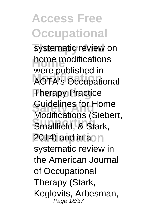systematic review on home modifications **Modification** AOTA's Occupational **Therapy Practice** Guidelines for Home<br>Modifications (Siebert, **Smallfield, & Stark, 2014)** and in aon were published in Guidelines for Home systematic review in the American Journal of Occupational Therapy (Stark, Keglovits, Arbesman, Page 18/37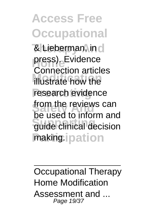**& Lieberman, in d** press). Evidence **Modification** illustrate how the research evidence **from the reviews can**<br>be used to inform and guide clinical decision making.ipation Connection articles from the reviews can

Occupational Therapy Home Modification Assessment and ... Page 19/37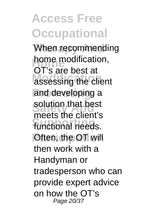When recommending home modification, **Modification** assessing the client and developing a solution that best functional needs. *<u>Often, the OT</u>* will OT's are best at meets the client's then work with a Handyman or tradesperson who can provide expert advice on how the OT's Page 20/37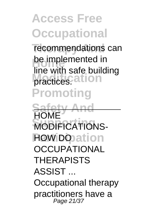recommendations can be implemented in **practices.**<br> **ation Promoting** line with safe building

**Safety And MODIFICATIONS-POW DO** ation **HOMF** OCCUPATIONAL **THERAPISTS** ASSIST ... Occupational therapy practitioners have a Page 21/37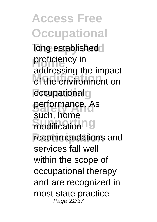**Access Free Occupational Tong established** proficiency in **Modification** of the environment on *<u>occupational</u>* performance. As modification<sup>10</sup> recommendations and addressing the impact such, home services fall well within the scope of occupational therapy and are recognized in most state practice Page 22/37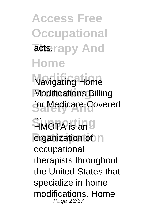**Access Free Occupational** acts.rapy And **Home**

**Navigating Home Modifications Billing** for Medicare-Covered

**SUPPORT Participation** of **p** HMOTA is an occupational therapists throughout the United States that specialize in home modifications. Home Page 23/37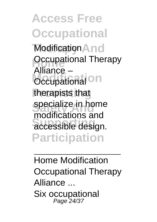**Modification And Occupational Therapy Occupational** On therapists that specialize in home accessible design. **Participation** Alliance – modifications and

Home Modification Occupational Therapy Alliance ... Six occupational Page 24/37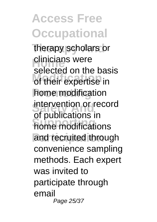therapy scholars or **Clinicians were** odiscuss on the bat home modification intervention or record **Supporting** home modifications and recruited through selected on the basis of publications in convenience sampling methods. Each expert was invited to participate through email Page 25/37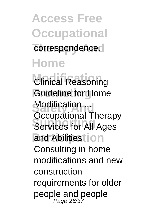**Access Free Occupational** correspondence. **Home**

**Clinical Reasoning** *<u>Guideline</u>* for Home **Modification Services for All Ages** and Abilitiest<sup>ion</sup> Occupational Therapy Consulting in home modifications and new construction requirements for older people and people<br>Page 26/37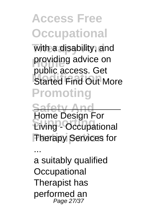with a disability, and providing advice on **Started Find Out More Promoting** public access. Get

**Safety And Supporting** Living - Occupational **Therapy Services for** Home Design For

a suitably qualified **Occupational** Therapist has performed an Page 27/37

...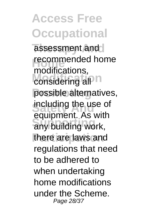assessment and recommended home modifications, possible alternatives, including the use of any building work, there are laws and modifications, equipment. As with regulations that need to be adhered to when undertaking home modifications under the Scheme. Page 28/37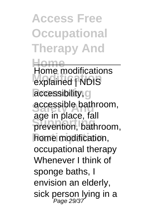**Access Free Occupational Therapy And**

**Home Modification** explained | NDIS accessibility<sub>1</sub>g accessible bathroom, **Supporting** prevention, bathroom, home modification, Home modifications age in place, fall occupational therapy Whenever I think of sponge baths, I envision an elderly, sick person lying in a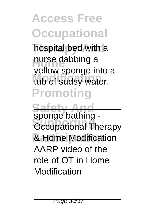hospital bed with a nurse dabbing a tub of sudsy water. **Promoting** yellow sponge into a

**Safety And Sported Summy**<br> **Occupational Therapy Participation** & Home Modification sponge bathing - AARP video of the role of OT in Home Modification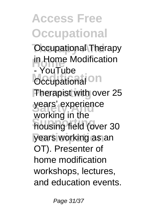**Occupational Therapy Home** - YouTube **Occupational** On **Therapist with over 25** years' experience **Supporting** housing field (over 30 years working as an in Home Modification working in the OT). Presenter of home modification workshops, lectures, and education events.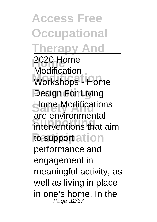**Access Free Occupational Therapy And**

**Home** 2020 Home **Modification** Workshops - Home **Pesign For Living Home Modifications** interventions that aim to supportation Modification are environmental performance and engagement in meaningful activity, as well as living in place in one's home. In the Page 32/37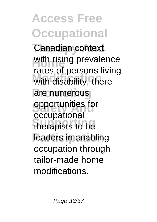Canadian context, with rising prevalence with disability, there are numerous **Separtunities** for **Supporting** therapists to be leaders in enabling rates of persons living occupational occupation through tailor-made home modifications.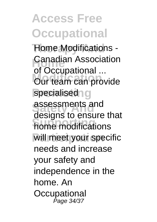**Home Modifications -Canadian Association Our team can provide** specialised<sup>o</sup>g **Safety And** assessments and **Supporting** home modifications will meet your specific of Occupational ... designs to ensure that needs and increase your safety and independence in the home. An **Occupational** Page 34/37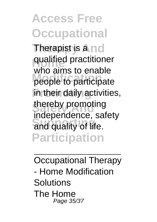**Therapist is a nd** qualified practitioner mis annote on also<br>people to participate in their daily activities, thereby promoting and quality of life. **Participation** who aims to enable independence, safety

Occupational Therapy - Home Modification Solutions The Home Page 35/37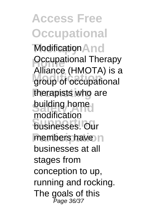**Modification And Occupational Therapy** group of occupational therapists who are **building home Supporting** businesses. Our members have n Alliance (HMOTA) is a modification businesses at all stages from conception to up, running and rocking. The goals of this Page 36/37